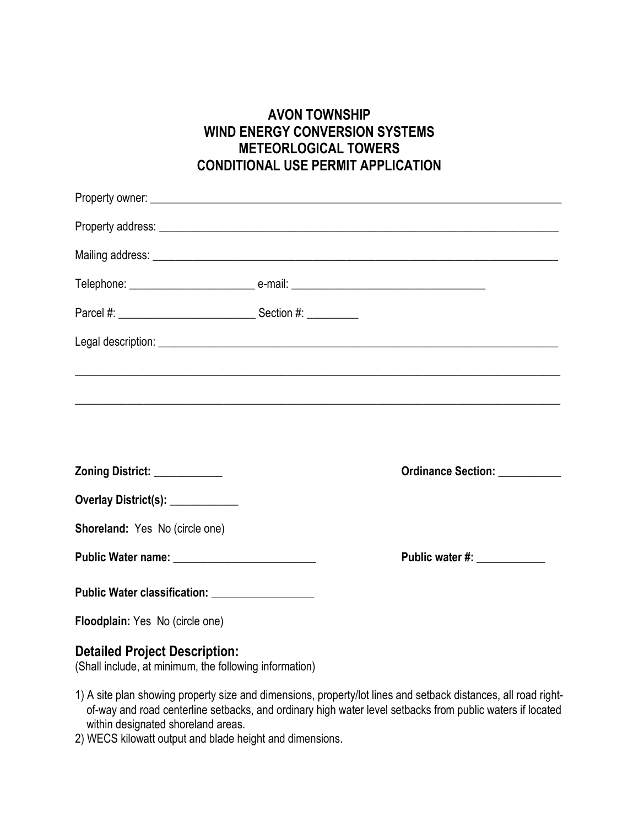## **AVON TOWNSHIP WIND ENERGY CONVERSION SYSTEMS METEORLOGICAL TOWERS CONDITIONAL USE PERMIT APPLICATION**

|                                                | Property address: example, and the state of the state of the state of the state of the state of the state of the state of the state of the state of the state of the state of the state of the state of the state of the state |
|------------------------------------------------|--------------------------------------------------------------------------------------------------------------------------------------------------------------------------------------------------------------------------------|
|                                                |                                                                                                                                                                                                                                |
|                                                |                                                                                                                                                                                                                                |
|                                                |                                                                                                                                                                                                                                |
|                                                |                                                                                                                                                                                                                                |
|                                                | <u> 1989 - Johann Barbara, markazar amerikan basar dan berasal dalam berasal dalam berasal dalam berasal dalam b</u>                                                                                                           |
|                                                |                                                                                                                                                                                                                                |
|                                                |                                                                                                                                                                                                                                |
|                                                |                                                                                                                                                                                                                                |
| Zoning District: ___________                   | Ordinance Section: __________                                                                                                                                                                                                  |
| Overlay District(s): ___________               |                                                                                                                                                                                                                                |
| Shoreland: Yes No (circle one)                 |                                                                                                                                                                                                                                |
|                                                | Public water #: ____________                                                                                                                                                                                                   |
| Public Water classification: _________________ |                                                                                                                                                                                                                                |
| Floodplain: Yes No (circle one)                |                                                                                                                                                                                                                                |
| <b>Detailed Project Description:</b>           |                                                                                                                                                                                                                                |

(Shall include, at minimum, the following information)

- 1) A site plan showing property size and dimensions, property/lot lines and setback distances, all road right of-way and road centerline setbacks, and ordinary high water level setbacks from public waters if located within designated shoreland areas.
- 2) WECS kilowatt output and blade height and dimensions.